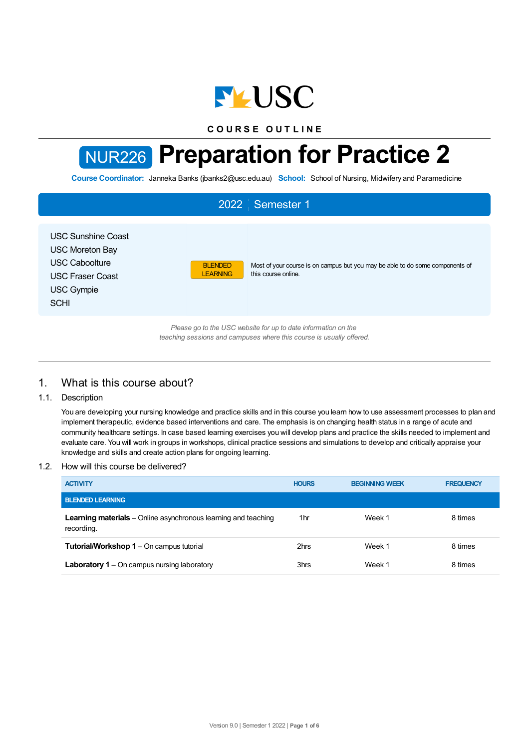

**C O U R S E O U T L I N E**

# NUR226 **Preparation for Practice 2**

**Course Coordinator:** Janneka Banks (jbanks2@usc.edu.au) **School:** School of Nursing, Midwifery and Paramedicine

| 2022 Semester 1                                                                                                                             |                                   |                                                                                                      |  |  |  |
|---------------------------------------------------------------------------------------------------------------------------------------------|-----------------------------------|------------------------------------------------------------------------------------------------------|--|--|--|
| <b>USC Sunshine Coast</b><br><b>USC Moreton Bay</b><br><b>USC Caboolture</b><br><b>USC Fraser Coast</b><br><b>USC Gympie</b><br><b>SCHI</b> | <b>BLENDED</b><br><b>LEARNING</b> | Most of your course is on campus but you may be able to do some components of<br>this course online. |  |  |  |
| Please go to the USC website for up to date information on the<br>teaching sessions and campuses where this course is usually offered.      |                                   |                                                                                                      |  |  |  |

# 1. What is this course about?

# 1.1. Description

You are developing your nursing knowledge and practice skills and in this course you learn how to use assessment processes to plan and implement therapeutic, evidence based interventions and care. The emphasis is on changing health status in a range of acute and community healthcare settings. In case based learning exercises you will develop plans and practice the skills needed to implement and evaluate care. You will work in groups in workshops, clinical practice sessions and simulations to develop and critically appraise your knowledge and skills and create action plans for ongoing learning.

# 1.2. How will this course be delivered?

| <b>ACTIVITY</b>                                                                     | <b>HOURS</b> | <b>BEGINNING WEEK</b> | <b>FREQUENCY</b> |
|-------------------------------------------------------------------------------------|--------------|-----------------------|------------------|
| <b>BLENDED LEARNING</b>                                                             |              |                       |                  |
| <b>Learning materials</b> – Online asynchronous learning and teaching<br>recording. | 1hr          | Week 1                | 8 times          |
| <b>Tutorial/Workshop 1 – On campus tutorial</b>                                     | 2hrs         | Week 1                | 8 times          |
| <b>Laboratory 1</b> – On campus nursing laboratory                                  | 3hrs         | Week 1                | 8 times          |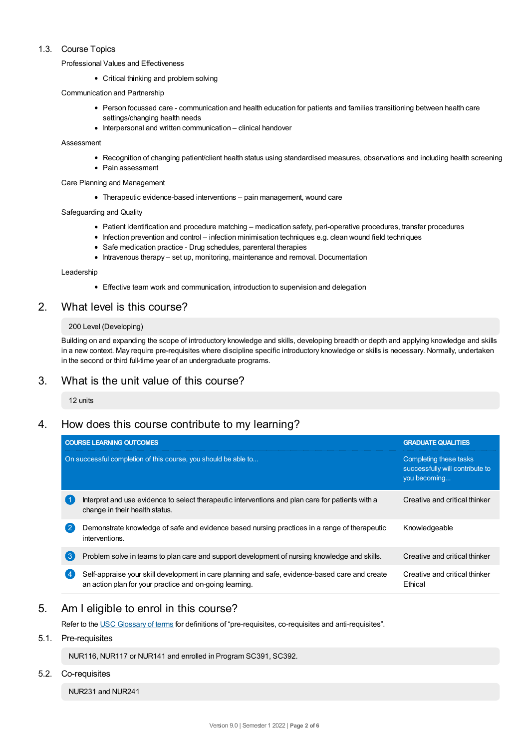# 1.3. Course Topics

Professional Values and Effectiveness

• Critical thinking and problem solving

Communication and Partnership

- Person focussed care communication and health education for patients and families transitioning between health care settings/changing health needs
- $\bullet$  Interpersonal and written communication clinical handover

#### Assessment

- Recognition of changing patient/client health status using standardised measures, observations and including health screening
- Pain assessment
- Care Planning and Management
	- Therapeutic evidence-based interventions pain management, wound care

#### Safeguarding and Quality

- Patient identification and procedure matching medication safety, peri-operative procedures, transfer procedures
- Infection prevention and control infection minimisation techniques e.g. clean wound field techniques
- Safe medication practice Drug schedules, parenteral therapies
- Intravenous therapy set up, monitoring, maintenance and removal. Documentation

#### Leadership

Effective team work and communication, introduction to supervision and delegation

# 2. What level is this course?

#### 200 Level (Developing)

Building on and expanding the scope of introductory knowledge and skills, developing breadth or depth and applying knowledge and skills in a new context. May require pre-requisites where discipline specific introductory knowledge or skills is necessary. Normally, undertaken in the second or third full-time year of an undergraduate programs.

# 3. What is the unit value of this course?

12 units

# 4. How does this course contribute to my learning?

|                | <b>COURSE LEARNING OUTCOMES</b>                                                                                                                           | <b>GRADUATE QUALITIES</b>                                                 |
|----------------|-----------------------------------------------------------------------------------------------------------------------------------------------------------|---------------------------------------------------------------------------|
|                | On successful completion of this course, you should be able to                                                                                            | Completing these tasks<br>successfully will contribute to<br>you becoming |
|                | Interpret and use evidence to select therapeutic interventions and plan care for patients with a<br>change in their health status.                        | Creative and critical thinker                                             |
| $\overline{2}$ | Demonstrate knowledge of safe and evidence based nursing practices in a range of therapeutic<br>interventions.                                            | Knowledgeable                                                             |
| 3              | Problem solve in teams to plan care and support development of nursing knowledge and skills.                                                              | Creative and critical thinker                                             |
| 4              | Self-appraise your skill development in care planning and safe, evidence-based care and create<br>an action plan for your practice and on-going learning. | Creative and critical thinker<br>Ethical                                  |

# 5. Am Ieligible to enrol in this course?

Refer to the USC [Glossary](https://www.usc.edu.au/about/policies-and-procedures/glossary-of-terms-for-policy-and-procedures) of terms for definitions of "pre-requisites, co-requisites and anti-requisites".

# 5.1. Pre-requisites

NUR116, NUR117 or NUR141 and enrolled in Program SC391, SC392.

#### 5.2. Co-requisites

NUR231 and NUR241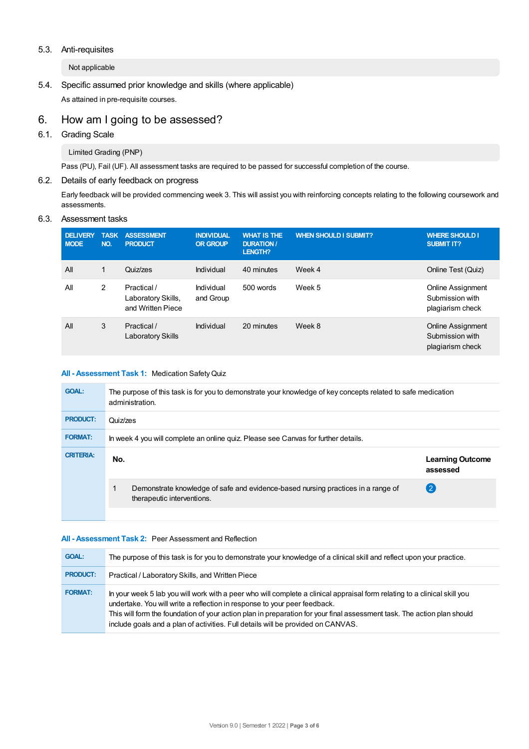## 5.3. Anti-requisites

Not applicable

5.4. Specific assumed prior knowledge and skills (where applicable) As attained in pre-requisite courses.

# 6. How am Igoing to be assessed?

6.1. Grading Scale

Limited Grading (PNP)

Pass (PU), Fail (UF). All assessment tasks are required to be passed for successful completion of the course.

# 6.2. Details of early feedback on progress

Early feedback will be provided commencing week 3. This will assist you with reinforcing concepts relating to the following coursework and assessments.

# 6.3. Assessment tasks

| <b>DELIVERY</b><br><b>MODE</b> | <b>TASK</b><br>NO. | <b>ASSESSMENT</b><br><b>PRODUCT</b>                    | <b>INDIVIDUAL</b><br><b>OR GROUP</b> | <b>WHAT IS THE</b><br><b>DURATION /</b><br><b>LENGTH?</b> | <b>WHEN SHOULD I SUBMIT?</b> | <b>WHERE SHOULD I</b><br><b>SUBMIT IT?</b>                      |
|--------------------------------|--------------------|--------------------------------------------------------|--------------------------------------|-----------------------------------------------------------|------------------------------|-----------------------------------------------------------------|
| All                            | 1                  | Quiz/zes                                               | Individual                           | 40 minutes                                                | Week 4                       | Online Test (Quiz)                                              |
| All                            | 2                  | Practical /<br>Laboratory Skills,<br>and Written Piece | Individual<br>and Group              | 500 words                                                 | Week 5                       | Online Assignment<br>Submission with<br>plagiarism check        |
| All                            | 3                  | Practical /<br>Laboratory Skills                       | Individual                           | 20 minutes                                                | Week 8                       | <b>Online Assignment</b><br>Submission with<br>plagiarism check |

## **All - Assessment Task 1:** Medication SafetyQuiz

| <b>GOAL:</b>     | The purpose of this task is for you to demonstrate your knowledge of key concepts related to safe medication<br>administration. |                                     |  |  |  |
|------------------|---------------------------------------------------------------------------------------------------------------------------------|-------------------------------------|--|--|--|
| <b>PRODUCT:</b>  | Quiz/zes                                                                                                                        |                                     |  |  |  |
| <b>FORMAT:</b>   | In week 4 you will complete an online quiz. Please see Canvas for further details.                                              |                                     |  |  |  |
| <b>CRITERIA:</b> | No.                                                                                                                             | <b>Learning Outcome</b><br>assessed |  |  |  |
|                  | Demonstrate knowledge of safe and evidence-based nursing practices in a range of<br>therapeutic interventions.                  | $\mathbf{2}$                        |  |  |  |
|                  |                                                                                                                                 |                                     |  |  |  |

#### **All - Assessment Task 2:** Peer Assessment and Reflection

| <b>GOAL:</b>    | The purpose of this task is for you to demonstrate your knowledge of a clinical skill and reflect upon your practice.                                                                                                                                                                                                                                                                                                 |
|-----------------|-----------------------------------------------------------------------------------------------------------------------------------------------------------------------------------------------------------------------------------------------------------------------------------------------------------------------------------------------------------------------------------------------------------------------|
| <b>PRODUCT:</b> | Practical / Laboratory Skills, and Written Piece                                                                                                                                                                                                                                                                                                                                                                      |
| <b>FORMAT:</b>  | In your week 5 lab you will work with a peer who will complete a clinical appraisal form relating to a clinical skill you<br>undertake. You will write a reflection in response to your peer feedback.<br>This will form the foundation of your action plan in preparation for your final assessment task. The action plan should<br>include goals and a plan of activities. Full details will be provided on CANVAS. |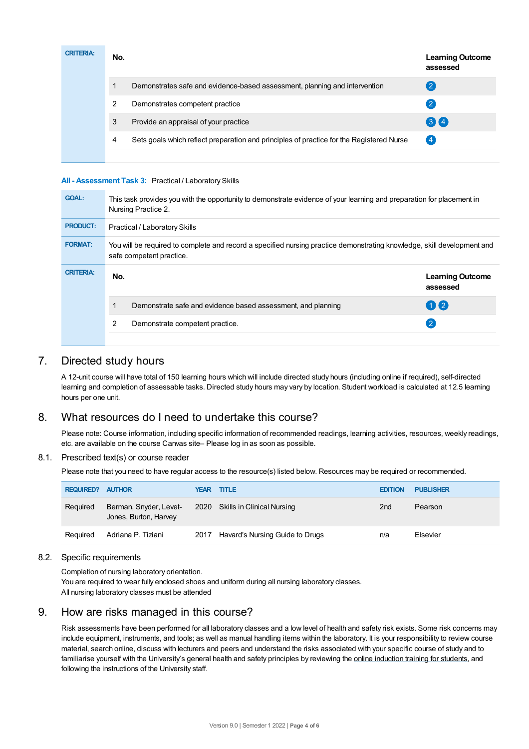| <b>CRITERIA:</b> | No. |                                                                                          | <b>Learning Outcome</b><br>assessed |
|------------------|-----|------------------------------------------------------------------------------------------|-------------------------------------|
|                  |     | Demonstrates safe and evidence-based assessment, planning and intervention               | (2                                  |
|                  | 2   | Demonstrates competent practice                                                          | [2]                                 |
|                  | 3   | Provide an appraisal of your practice                                                    | 34                                  |
|                  | 4   | Sets goals which reflect preparation and principles of practice for the Registered Nurse | (4)                                 |
|                  |     |                                                                                          |                                     |

## **All - Assessment Task 3:** Practical / Laboratory Skills

| <b>GOAL:</b>     | This task provides you with the opportunity to demonstrate evidence of your learning and preparation for placement in<br>Nursing Practice 2.        |                                     |  |  |  |
|------------------|-----------------------------------------------------------------------------------------------------------------------------------------------------|-------------------------------------|--|--|--|
| <b>PRODUCT:</b>  | <b>Practical / Laboratory Skills</b>                                                                                                                |                                     |  |  |  |
| <b>FORMAT:</b>   | You will be required to complete and record a specified nursing practice demonstrating knowledge, skill development and<br>safe competent practice. |                                     |  |  |  |
| <b>CRITERIA:</b> | No.                                                                                                                                                 | <b>Learning Outcome</b><br>assessed |  |  |  |
|                  | Demonstrate safe and evidence based assessment, and planning                                                                                        | $\mathbf{1}$                        |  |  |  |
|                  | 2<br>Demonstrate competent practice.                                                                                                                | 21                                  |  |  |  |
|                  |                                                                                                                                                     |                                     |  |  |  |

# 7. Directed study hours

A 12-unit course will have total of 150 learning hours which will include directed study hours (including online if required), self-directed learning and completion of assessable tasks. Directed study hours may vary by location. Student workload is calculated at 12.5 learning hours per one unit.

# 8. What resources do I need to undertake this course?

Please note: Course information, including specific information of recommended readings, learning activities, resources, weekly readings, etc. are available on the course Canvas site– Please log in as soon as possible.

#### 8.1. Prescribed text(s) or course reader

Please note that you need to have regular access to the resource(s) listed below. Resources may be required or recommended.

| <b>REQUIRED? AUTHOR</b> |                                                 |      | <b>YEAR TITLE</b>               | <b>EDITION</b>  | <b>PUBLISHER</b> |
|-------------------------|-------------------------------------------------|------|---------------------------------|-----------------|------------------|
| Required                | Berman, Snyder, Levet-<br>Jones, Burton, Harvey |      | 2020 Skills in Clinical Nursing | 2 <sub>nd</sub> | Pearson          |
| Reguired                | Adriana P. Tiziani                              | 2017 | Havard's Nursing Guide to Drugs | n/a             | Elsevier         |

#### 8.2. Specific requirements

Completion of nursing laboratory orientation.

You are required to wear fully enclosed shoes and uniform during all nursing laboratory classes. All nursing laboratory classes must be attended

# 9. How are risks managed in this course?

Risk assessments have been performed for all laboratory classes and a low level of health and safety risk exists. Some risk concerns may include equipment, instruments, and tools; as well as manual handling items within the laboratory. It is your responsibility to review course material, search online, discuss with lecturers and peers and understand the risks associated with your specific course of study and to familiarise yourself with the University's general health and safety principles by reviewing the online [induction](https://online.usc.edu.au/webapps/blackboard/content/listContentEditable.jsp?content_id=_632657_1&course_id=_14432_1) training for students, and following the instructions of the University staff.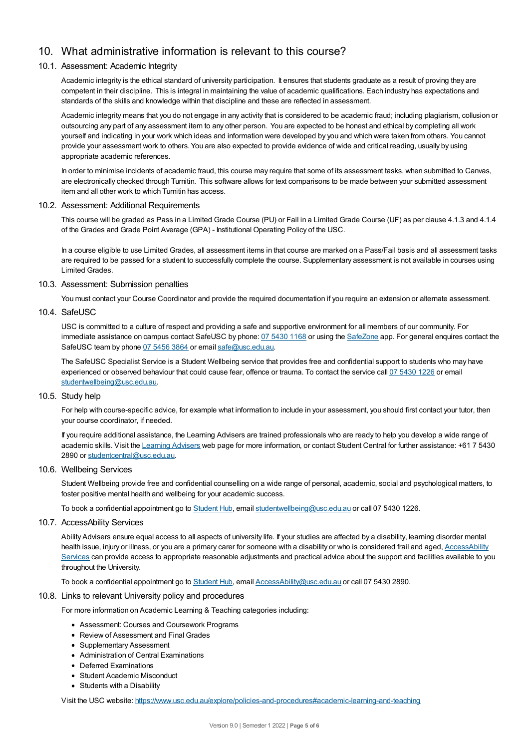# 10. What administrative information is relevant to this course?

## 10.1. Assessment: Academic Integrity

Academic integrity is the ethical standard of university participation. It ensures that students graduate as a result of proving they are competent in their discipline. This is integral in maintaining the value of academic qualifications. Each industry has expectations and standards of the skills and knowledge within that discipline and these are reflected in assessment.

Academic integrity means that you do not engage in any activity that is considered to be academic fraud; including plagiarism, collusion or outsourcing any part of any assessment item to any other person. You are expected to be honest and ethical by completing all work yourself and indicating in your work which ideas and information were developed by you and which were taken from others. You cannot provide your assessment work to others.You are also expected to provide evidence of wide and critical reading, usually by using appropriate academic references.

In order to minimise incidents of academic fraud, this course may require that some of its assessment tasks, when submitted to Canvas, are electronically checked through Turnitin. This software allows for text comparisons to be made between your submitted assessment item and all other work to which Turnitin has access.

#### 10.2. Assessment: Additional Requirements

This course will be graded as Pass in a Limited Grade Course (PU) or Fail in a Limited Grade Course (UF) as per clause 4.1.3 and 4.1.4 of the Grades and Grade Point Average (GPA) - Institutional Operating Policy of the USC.

In a course eligible to use Limited Grades, all assessment items in that course are marked on a Pass/Fail basis and all assessment tasks are required to be passed for a student to successfully complete the course. Supplementary assessment is not available in courses using Limited Grades.

## 10.3. Assessment: Submission penalties

You must contact your Course Coordinator and provide the required documentation if you require an extension or alternate assessment.

#### 10.4. SafeUSC

USC is committed to a culture of respect and providing a safe and supportive environment for all members of our community. For immediate assistance on campus contact SafeUSC by phone: 07 [5430](tel:07%205430%201168) 1168 or using the [SafeZone](https://www.safezoneapp.com) app. For general enquires contact the SafeUSC team by phone 07 [5456](tel:07%205456%203864) 3864 or email [safe@usc.edu.au](mailto:safe@usc.edu.au).

The SafeUSC Specialist Service is a Student Wellbeing service that provides free and confidential support to students who may have experienced or observed behaviour that could cause fear, offence or trauma. To contact the service call 07 [5430](tel:07%205430%201226) 1226 or email [studentwellbeing@usc.edu.au](mailto:studentwellbeing@usc.edu.au).

## 10.5. Study help

For help with course-specific advice, for example what information to include in your assessment, you should first contact your tutor, then your course coordinator, if needed.

If you require additional assistance, the Learning Advisers are trained professionals who are ready to help you develop a wide range of academic skills. Visit the Learning [Advisers](https://www.usc.edu.au/current-students/student-support/academic-and-study-support/learning-advisers) web page for more information, or contact Student Central for further assistance: +61 7 5430 2890 or [studentcentral@usc.edu.au](mailto:studentcentral@usc.edu.au).

#### 10.6. Wellbeing Services

Student Wellbeing provide free and confidential counselling on a wide range of personal, academic, social and psychological matters, to foster positive mental health and wellbeing for your academic success.

To book a confidential appointment go to [Student](https://studenthub.usc.edu.au/) Hub, email [studentwellbeing@usc.edu.au](mailto:studentwellbeing@usc.edu.au) or call 07 5430 1226.

## 10.7. AccessAbility Services

Ability Advisers ensure equal access to all aspects of university life. If your studies are affected by a disability, learning disorder mental health issue, injury or illness, or you are a primary carer for someone with a disability or who is considered frail and aged, [AccessAbility](https://www.usc.edu.au/learn/student-support/accessability-services/documentation-requirements) Services can provide access to appropriate reasonable adjustments and practical advice about the support and facilities available to you throughout the University.

To book a confidential appointment go to [Student](https://studenthub.usc.edu.au/) Hub, email [AccessAbility@usc.edu.au](mailto:AccessAbility@usc.edu.au) or call 07 5430 2890.

#### 10.8. Links to relevant University policy and procedures

For more information on Academic Learning & Teaching categories including:

- Assessment: Courses and Coursework Programs
- Review of Assessment and Final Grades
- Supplementary Assessment
- Administration of Central Examinations
- Deferred Examinations
- Student Academic Misconduct
- Students with a Disability

Visit the USC website: <https://www.usc.edu.au/explore/policies-and-procedures#academic-learning-and-teaching>